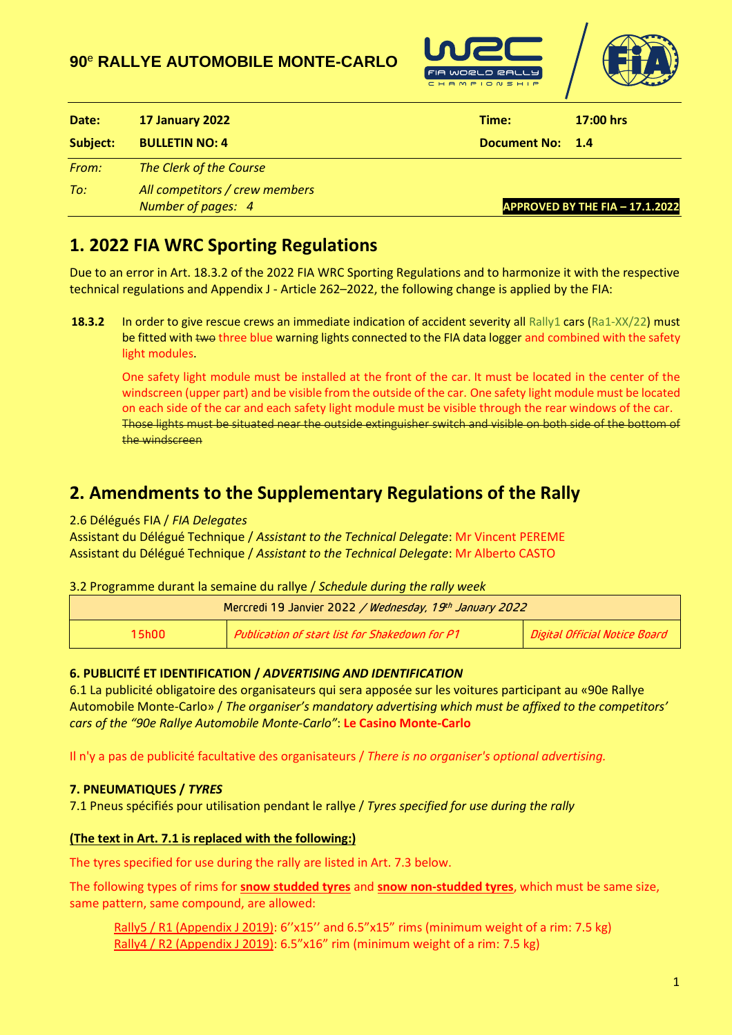## **90** <sup>e</sup> **RALLYE AUTOMOBILE MONTE-CARLO**





| Date:    | 17 January 2022                                      | Time:               | $17:00$ hrs                     |
|----------|------------------------------------------------------|---------------------|---------------------------------|
| Subject: | <b>BULLETIN NO: 4</b>                                | <b>Document No:</b> | $-1.4$                          |
| From:    | The Clerk of the Course                              |                     |                                 |
| To:      | All competitors / crew members<br>Number of pages: 4 |                     | APPROVED BY THE FIA - 17.1.2022 |

# **1. 2022 FIA WRC Sporting Regulations**

Due to an error in Art. 18.3.2 of the 2022 FIA WRC Sporting Regulations and to harmonize it with the respective technical regulations and Appendix J - Article 262–2022, the following change is applied by the FIA:

**18.3.2** In order to give rescue crews an immediate indication of accident severity all Rally1 cars (Ra1-XX/22) must be fitted with two three blue warning lights connected to the FIA data logger and combined with the safety light modules.

One safety light module must be installed at the front of the car. It must be located in the center of the windscreen (upper part) and be visible from the outside of the car. One safety light module must be located on each side of the car and each safety light module must be visible through the rear windows of the car. Those lights must be situated near the outside extinguisher switch and visible on both side of the bottom of the windscreen

## **2. Amendments to the Supplementary Regulations of the Rally**

### 2.6 Délégués FIA / *FIA Delegates*

Assistant du Délégué Technique / *Assistant to the Technical Delegate*: Mr Vincent PEREME Assistant du Délégué Technique / *Assistant to the Technical Delegate*: Mr Alberto CASTO

## 3.2 Programme durant la semaine du rallye / *Schedule during the rally week*

| Mercredi 19 Janvier 2022 / Wednesday, 19th January 2022 |                                                |                               |  |  |  |
|---------------------------------------------------------|------------------------------------------------|-------------------------------|--|--|--|
| 15h00                                                   | Publication of start list for Shakedown for P1 | Digital Official Notice Board |  |  |  |

## **6. PUBLICITÉ ET IDENTIFICATION /** *ADVERTISING AND IDENTIFICATION*

6.1 La publicité obligatoire des organisateurs qui sera apposée sur les voitures participant au «90e Rallye Automobile Monte-Carlo» / *The organiser's mandatory advertising which must be affixed to the competitors' cars of the "90e Rallye Automobile Monte-Carlo"*: **Le Casino Monte-Carlo**

Il n'y a pas de publicité facultative des organisateurs / *There is no organiser's optional advertising.*

## **7. PNEUMATIQUES /** *TYRES*

7.1 Pneus spécifiés pour utilisation pendant le rallye / *Tyres specified for use during the rally*

## **(The text in Art. 7.1 is replaced with the following:)**

The tyres specified for use during the rally are listed in Art. 7.3 below.

The following types of rims for **snow studded tyres** and **snow non-studded tyres**, which must be same size, same pattern, same compound, are allowed:

Rally5 / R1 (Appendix J 2019):  $6'x15''$  and  $6.5''x15''$  rims (minimum weight of a rim: 7.5 kg) Rally4 / R2 (Appendix J 2019): 6.5"x16" rim (minimum weight of a rim: 7.5 kg)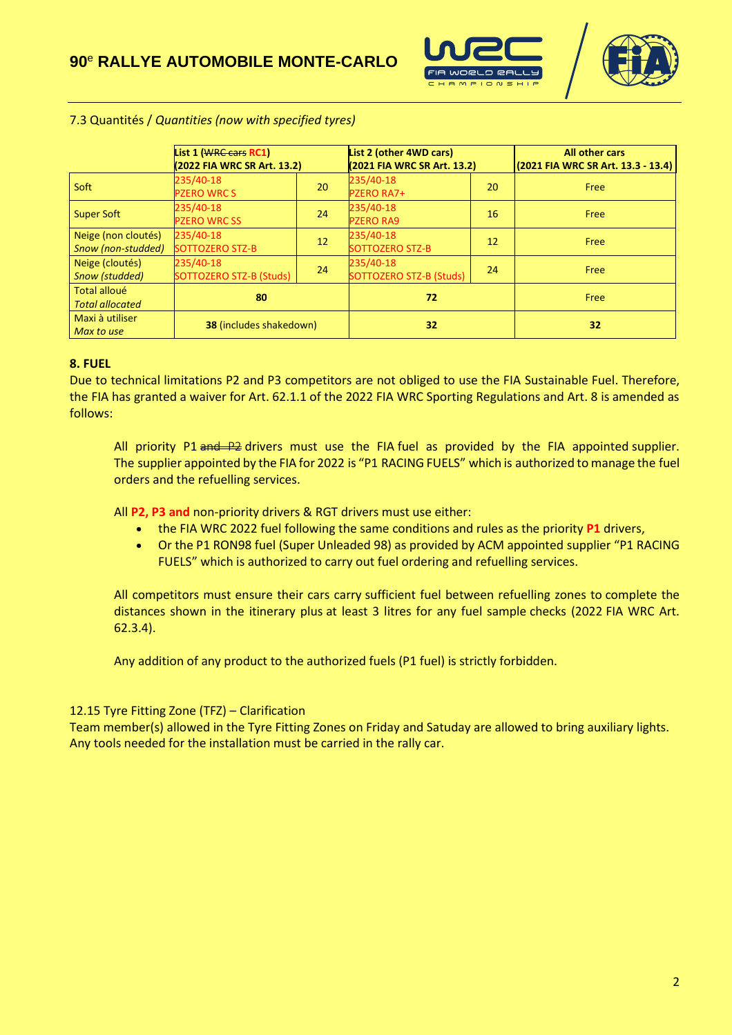



#### 7.3 Quantités / *Quantities (now with specified tyres)*

|                                               | List 1 (WRC cars RC1)<br>(2022 FIA WRC SR Art. 13.2) |    | List 2 (other 4WD cars)<br>(2021 FIA WRC SR Art. 13.2) |    | <b>All other cars</b><br>(2021 FIA WRC SR Art. 13.3 - 13.4) |
|-----------------------------------------------|------------------------------------------------------|----|--------------------------------------------------------|----|-------------------------------------------------------------|
| Soft                                          | 235/40-18<br><b>PZERO WRC S</b>                      | 20 | 235/40-18<br><b>PZERO RA7+</b>                         | 20 | Free                                                        |
| Super Soft                                    | 235/40-18<br><b>PZERO WRC SS</b>                     | 24 | 235/40-18<br><b>PZERO RA9</b>                          | 16 | Free                                                        |
| Neige (non cloutés)<br>Snow (non-studded)     | 235/40-18<br>SOTTOZERO STZ-B                         | 12 | 235/40-18<br><b>SOTTOZERO STZ-B</b>                    | 12 | Free                                                        |
| Neige (cloutés)<br>Snow (studded)             | 235/40-18<br>SOTTOZERO STZ-B (Studs)                 | 24 | 235/40-18<br>SOTTOZERO STZ-B (Studs)                   | 24 | Free                                                        |
| <b>Total alloué</b><br><b>Total allocated</b> | 80                                                   |    | 72                                                     |    | Free                                                        |
| Maxi à utiliser<br>Max to use                 | <b>38 (includes shakedown)</b>                       |    | 32                                                     |    | 32                                                          |

#### **8. FUEL**

Due to technical limitations P2 and P3 competitors are not obliged to use the FIA Sustainable Fuel. Therefore, the FIA has granted a waiver for Art. 62.1.1 of the 2022 FIA WRC Sporting Regulations and Art. 8 is amended as follows:

All priority P1  $\frac{1}{2}$  definitions must use the FIA fuel as provided by the FIA appointed supplier. The supplier appointed by the FIA for 2022 is "P1 RACING FUELS" which is authorized to manage the fuel orders and the refuelling services.

All **P2, P3 and** non-priority drivers & RGT drivers must use either:

- the FIA WRC 2022 fuel following the same conditions and rules as the priority **P1** drivers,
- Or the P1 RON98 fuel (Super Unleaded 98) as provided by ACM appointed supplier "P1 RACING FUELS" which is authorized to carry out fuel ordering and refuelling services.

All competitors must ensure their cars carry sufficient fuel between refuelling zones to complete the distances shown in the itinerary plus at least 3 litres for any fuel sample checks (2022 FIA WRC Art. 62.3.4).

Any addition of any product to the authorized fuels (P1 fuel) is strictly forbidden.

## 12.15 Tyre Fitting Zone (TFZ) – Clarification

Team member(s) allowed in the Tyre Fitting Zones on Friday and Satuday are allowed to bring auxiliary lights. Any tools needed for the installation must be carried in the rally car.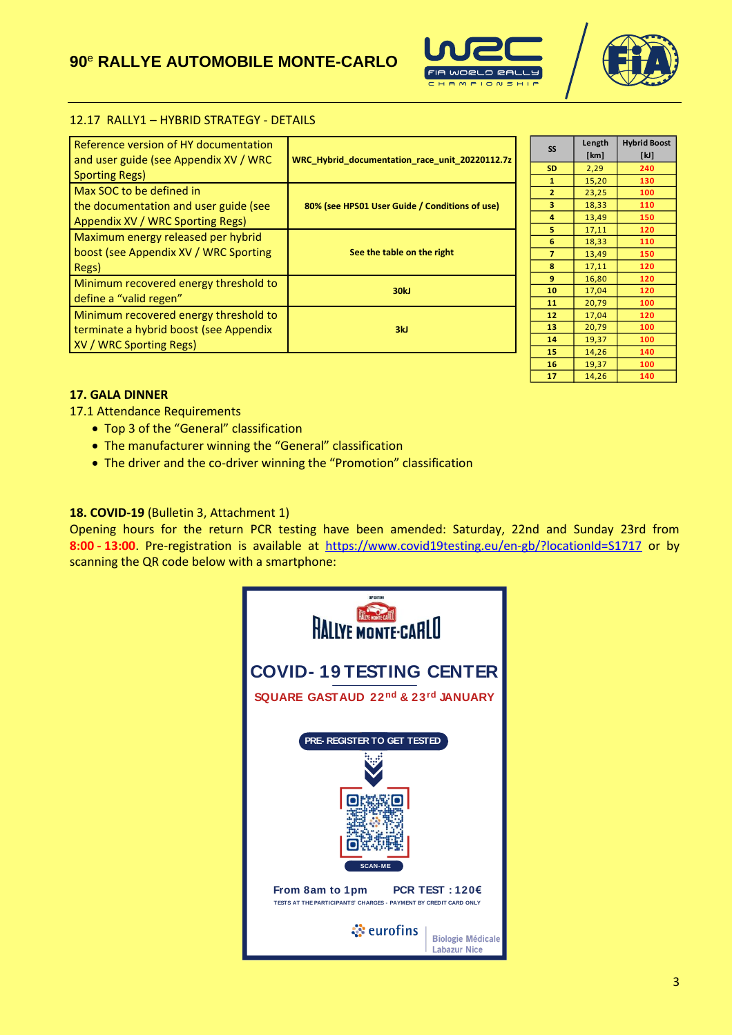## **90** <sup>e</sup> **RALLYE AUTOMOBILE MONTE-CARLO**





#### 12.17 RALLY1 – HYBRID STRATEGY - DETAILS

| Reference version of HY documentation<br>and user guide (see Appendix XV / WRC<br><b>Sporting Regs)</b>    | WRC Hybrid documentation race unit 20220112.7z |
|------------------------------------------------------------------------------------------------------------|------------------------------------------------|
| Max SOC to be defined in<br>the documentation and user guide (see<br>Appendix XV / WRC Sporting Regs)      | 80% (see HPS01 User Guide / Conditions of use) |
| Maximum energy released per hybrid<br>boost (see Appendix XV / WRC Sporting<br>Regs)                       | See the table on the right                     |
| Minimum recovered energy threshold to<br>define a "valid regen"                                            | 30kJ                                           |
| Minimum recovered energy threshold to<br>terminate a hybrid boost (see Appendix<br>XV / WRC Sporting Regs) | 3kJ                                            |

| SS             | Length | <b>Hybrid Boost</b> |
|----------------|--------|---------------------|
|                | [km]   | [kJ]                |
| <b>SD</b>      | 2,29   | 240                 |
| 1              | 15,20  | 130                 |
| $\overline{2}$ | 23,25  | 100                 |
| 3              | 18,33  | 110                 |
| 4              | 13,49  | 150                 |
| 5              | 17,11  | 120                 |
| 6              | 18,33  | 110                 |
| 7              | 13,49  | 150                 |
| 8              | 17,11  | 120                 |
| 9              | 16,80  | 120                 |
| 10             | 17,04  | 120                 |
| 11             | 20,79  | 100                 |
| 12             | 17,04  | 120                 |
| 13             | 20,79  | 100                 |
| 14             | 19,37  | 100                 |
| 15             | 14,26  | 140                 |
| 16             | 19,37  | 100                 |
| 17             | 14,26  | 140                 |

#### **17. GALA DINNER**

17.1 Attendance Requirements

- Top 3 of the "General" classification
- The manufacturer winning the "General" classification
- The driver and the co-driver winning the "Promotion" classification

#### **18. COVID-19** (Bulletin 3, Attachment 1)

Opening hours for the return PCR testing have been amended: Saturday, 22nd and Sunday 23rd from **8:00 - 13:00**. Pre-registration is available at <https://www.covid19testing.eu/en-gb/?locationId=S1717> or by scanning the QR code below with a smartphone: